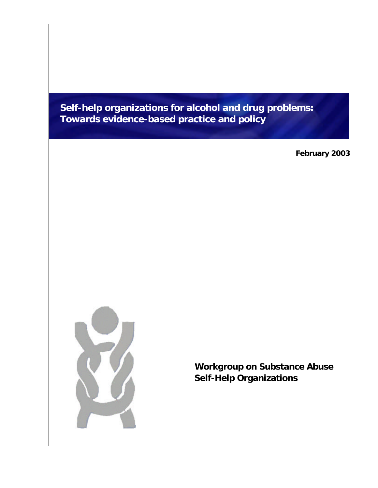# **Self-help organizations for alcohol and drug problems: Towards evidence-based practice and policy**

**February 2003**



**Workgroup on Substance Abuse Self-Help Organizations**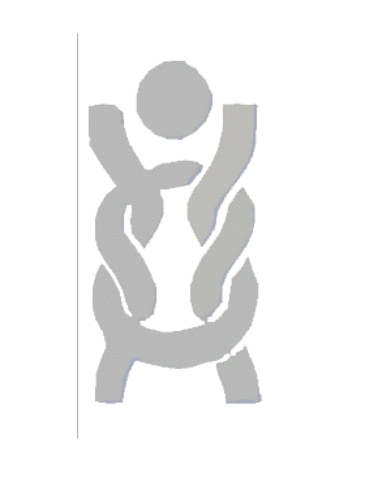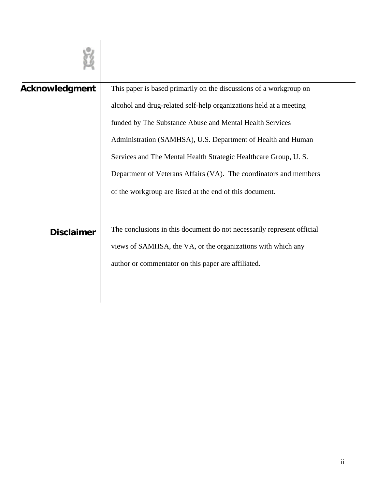| <b>Acknowledgment</b> | This paper is based primarily on the discussions of a workgroup on<br>alcohol and drug-related self-help organizations held at a meeting<br>funded by The Substance Abuse and Mental Health Services<br>Administration (SAMHSA), U.S. Department of Health and Human<br>Services and The Mental Health Strategic Healthcare Group, U.S.<br>Department of Veterans Affairs (VA). The coordinators and members<br>of the workgroup are listed at the end of this document. |
|-----------------------|--------------------------------------------------------------------------------------------------------------------------------------------------------------------------------------------------------------------------------------------------------------------------------------------------------------------------------------------------------------------------------------------------------------------------------------------------------------------------|
| <b>Disclaimer</b>     | The conclusions in this document do not necessarily represent official<br>views of SAMHSA, the VA, or the organizations with which any<br>author or commentator on this paper are affiliated.                                                                                                                                                                                                                                                                            |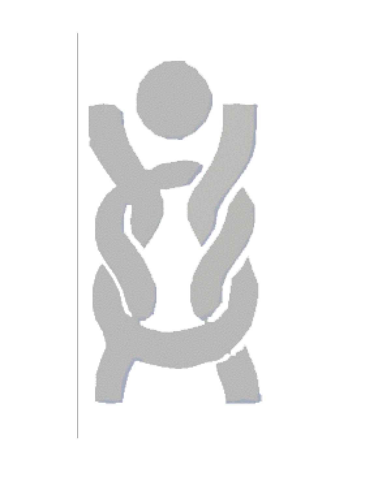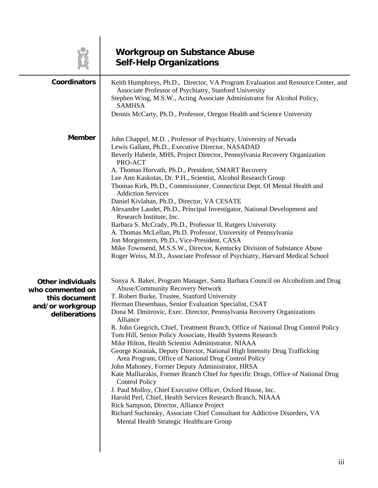|                                                                                                    | <b>Workgroup on Substance Abuse</b><br><b>Self-Help Organizations</b>                                                                                                                                                                                                                                                                                                                                                                                                                                                                                                                                                                                                                                                                                                                                                                                                                                                                                                                                                                                                                                                              |
|----------------------------------------------------------------------------------------------------|------------------------------------------------------------------------------------------------------------------------------------------------------------------------------------------------------------------------------------------------------------------------------------------------------------------------------------------------------------------------------------------------------------------------------------------------------------------------------------------------------------------------------------------------------------------------------------------------------------------------------------------------------------------------------------------------------------------------------------------------------------------------------------------------------------------------------------------------------------------------------------------------------------------------------------------------------------------------------------------------------------------------------------------------------------------------------------------------------------------------------------|
| <b>Coordinators</b>                                                                                | Keith Humphreys, Ph.D., Director, VA Program Evaluation and Resource Center, and<br>Associate Professor of Psychiatry, Stanford University<br>Stephen Wing, M.S.W., Acting Associate Administrator for Alcohol Policy,<br><b>SAMHSA</b><br>Dennis McCarty, Ph.D., Professor, Oregon Health and Science University                                                                                                                                                                                                                                                                                                                                                                                                                                                                                                                                                                                                                                                                                                                                                                                                                  |
| <b>Member</b>                                                                                      | John Chappel, M.D., Professor of Psychiatry, University of Nevada<br>Lewis Gallant, Ph.D., Executive Director, NASADAD<br>Beverly Haberle, MHS, Project Director, Pennsylvania Recovery Organization<br>PRO-ACT<br>A. Thomas Horvath, Ph.D., President, SMART Recovery<br>Lee Ann Kaskutas, Dr. P.H., Scientist, Alcohol Research Group<br>Thomas Kirk, Ph.D., Commissioner, Connecticut Dept. Of Mental Health and<br><b>Addiction Services</b><br>Daniel Kivlahan, Ph.D., Director, VA CESATE<br>Alexandre Laudet, Ph.D., Principal Investigator, National Development and<br>Research Institute, Inc.<br>Barbara S. McCrady, Ph.D., Professor II, Rutgers University<br>A. Thomas McLellan, Ph.D. Professor, University of Pennsylvania<br>Jon Morgenstern, Ph.D., Vice-President, CASA<br>Mike Townsend, M.S.S.W., Director, Kentucky Division of Substance Abuse<br>Roger Weiss, M.D., Associate Professor of Psychiatry, Harvard Medical School                                                                                                                                                                              |
| <b>Other individuals</b><br>who commented on<br>this document<br>and/or workgroup<br>deliberations | Sonya A. Baker, Program Manager, Santa Barbara Council on Alcoholism and Drug<br>Abuse/Community Recovery Network<br>T. Robert Burke, Trustee, Stanford University<br>Herman Diesenhaus, Senior Evaluation Specialist, CSAT<br>Dona M. Dmitrovic, Exec. Director, Pennsylvania Recovery Organizations<br>Alliance<br>R. John Gregrich, Chief, Treatment Branch, Office of National Drug Control Policy<br>Tom Hill, Senior Policy Associate, Health Systems Research<br>Mike Hilton, Health Scientist Administrator, NIAAA<br>George Kosniak, Deputy Director, National High Intensity Drug Trafficking<br>Area Program, Office of National Drug Control Policy<br>John Mahoney, Former Deputy Administrator, HRSA<br>Kate Malliarakis, Former Branch Chief for Specific Drugs, Office of National Drug<br><b>Control Policy</b><br>J. Paul Molloy, Chief Executive Officer, Oxford House, Inc.<br>Harold Perl, Chief, Health Services Research Branch, NIAAA<br>Rick Sampson, Director, Alliance Project<br>Richard Suchinsky, Associate Chief Consultant for Addictive Disorders, VA<br>Mental Health Strategic Healthcare Group |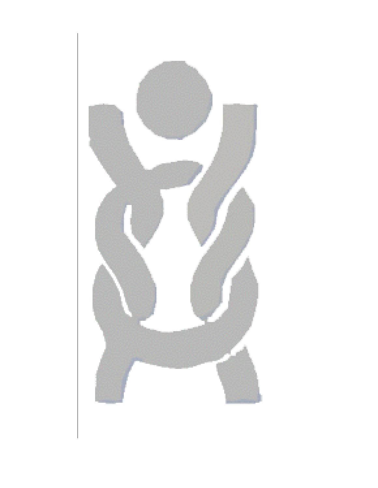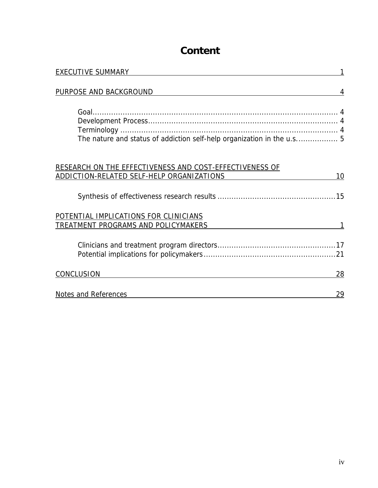# **Content**

| <b>EXECUTIVE SUMMARY</b>                                |    |
|---------------------------------------------------------|----|
| PURPOSE AND BACKGROUND                                  |    |
|                                                         |    |
|                                                         |    |
|                                                         |    |
|                                                         |    |
| RESEARCH ON THE EFFECTIVENESS AND COST-EFFECTIVENESS OF |    |
| ADDICTION-RELATED SELF-HELP ORGANIZATIONS               | 10 |
|                                                         |    |
|                                                         |    |
| POTENTIAL IMPLICATIONS FOR CLINICIANS                   |    |
| TREATMENT PROGRAMS AND POLICYMAKERS                     |    |
|                                                         |    |
|                                                         |    |
| <b>CONCLUSION</b>                                       | 28 |
|                                                         |    |
| <b>Notes and References</b>                             | 29 |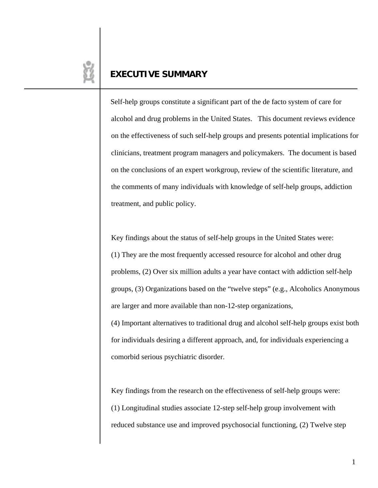Self-help groups constitute a significant part of the de facto system of care for alcohol and drug problems in the United States. This document reviews evidence on the effectiveness of such self-help groups and presents potential implications for clinicians, treatment program managers and policymakers. The document is based on the conclusions of an expert workgroup, review of the scientific literature, and the comments of many individuals with knowledge of self-help groups, addiction treatment, and public policy.

Key findings about the status of self-help groups in the United States were: (1) They are the most frequently accessed resource for alcohol and other drug problems, (2) Over six million adults a year have contact with addiction self-help groups, (3) Organizations based on the "twelve steps" (e.g., Alcoholics Anonymous) are larger and more available than non-12-step organizations,

(4) Important alternatives to traditional drug and alcohol self-help groups exist both for individuals desiring a different approach, and, for individuals experiencing a comorbid serious psychiatric disorder.

Key findings from the research on the effectiveness of self-help groups were: (1) Longitudinal studies associate 12-step self-help group involvement with reduced substance use and improved psychosocial functioning, (2) Twelve step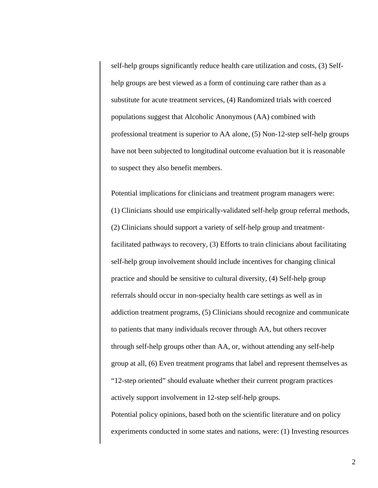self-help groups significantly reduce health care utilization and costs, (3) Selfhelp groups are best viewed as a form of continuing care rather than as a substitute for acute treatment services, (4) Randomized trials with coerced populations suggest that Alcoholic Anonymous (AA) combined with professional treatment is superior to AA alone, (5) Non-12-step self-help groups have not been subjected to longitudinal outcome evaluation but it is reasonable to suspect they also benefit members.

Potential implications for clinicians and treatment program managers were: (1) Clinicians should use empirically-validated self-help group referral methods, (2) Clinicians should support a variety of self-help group and treatmentfacilitated pathways to recovery, (3) Efforts to train clinicians about facilitating self-help group involvement should include incentives for changing clinical practice and should be sensitive to cultural diversity, (4) Self-help group referrals should occur in non-specialty health care settings as well as in addiction treatment programs, (5) Clinicians should recognize and communicate to patients that many individuals recover through AA, but others recover through self-help groups other than AA, or, without attending any self-help group at all, (6) Even treatment programs that label and represent themselves as "12-step oriented" should evaluate whether their current program practices actively support involvement in 12-step self-help groups.

Potential policy opinions, based both on the scientific literature and on policy experiments conducted in some states and nations, were: (1) Investing resources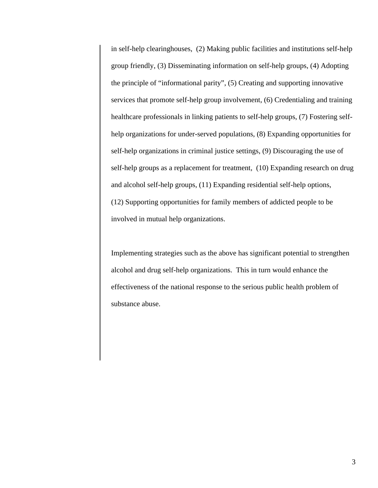in self-help clearinghouses, (2) Making public facilities and institutions self-help group friendly, (3) Disseminating information on self-help groups, (4) Adopting the principle of "informational parity", (5) Creating and supporting innovative services that promote self-help group involvement, (6) Credentialing and training healthcare professionals in linking patients to self-help groups, (7) Fostering selfhelp organizations for under-served populations, (8) Expanding opportunities for self-help organizations in criminal justice settings, (9) Discouraging the use of self-help groups as a replacement for treatment, (10) Expanding research on drug and alcohol self-help groups, (11) Expanding residential self-help options, (12) Supporting opportunities for family members of addicted people to be involved in mutual help organizations.

Implementing strategies such as the above has significant potential to strengthen alcohol and drug self-help organizations. This in turn would enhance the effectiveness of the national response to the serious public health problem of substance abuse.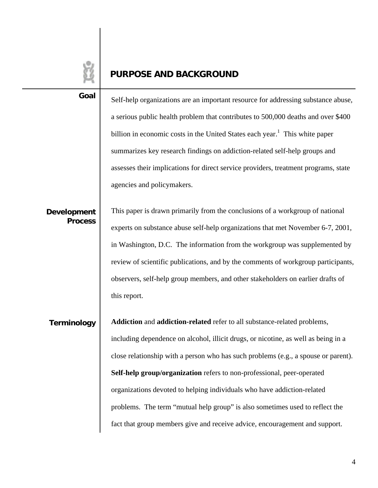Y

| Goal                                 | Self-help organizations are an important resource for addressing substance abuse,       |
|--------------------------------------|-----------------------------------------------------------------------------------------|
|                                      | a serious public health problem that contributes to 500,000 deaths and over \$400       |
|                                      | billion in economic costs in the United States each year. <sup>1</sup> This white paper |
|                                      | summarizes key research findings on addiction-related self-help groups and              |
|                                      | assesses their implications for direct service providers, treatment programs, state     |
|                                      | agencies and policymakers.                                                              |
| <b>Development</b><br><b>Process</b> | This paper is drawn primarily from the conclusions of a workgroup of national           |
|                                      | experts on substance abuse self-help organizations that met November 6-7, 2001,         |
|                                      | in Washington, D.C. The information from the workgroup was supplemented by              |
|                                      | review of scientific publications, and by the comments of workgroup participants,       |
|                                      | observers, self-help group members, and other stakeholders on earlier drafts of         |
|                                      | this report.                                                                            |
| <b>Terminology</b>                   | Addiction and addiction-related refer to all substance-related problems,                |
|                                      | including dependence on alcohol, illicit drugs, or nicotine, as well as being in a      |
|                                      | close relationship with a person who has such problems (e.g., a spouse or parent).      |
|                                      | Self-help group/organization refers to non-professional, peer-operated                  |
|                                      | organizations devoted to helping individuals who have addiction-related                 |
|                                      | problems. The term "mutual help group" is also sometimes used to reflect the            |
|                                      | fact that group members give and receive advice, encouragement and support.             |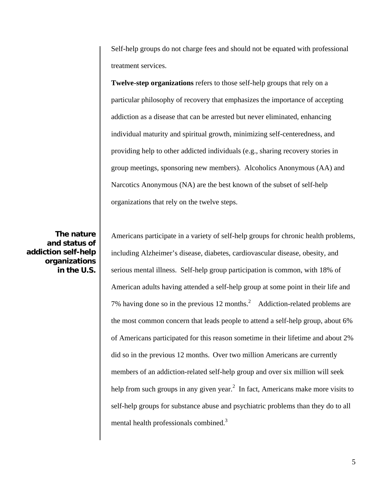Self-help groups do not charge fees and should not be equated with professional treatment services.

**Twelve-step organizations** refers to those self-help groups that rely on a particular philosophy of recovery that emphasizes the importance of accepting addiction as a disease that can be arrested but never eliminated, enhancing individual maturity and spiritual growth, minimizing self-centeredness, and providing help to other addicted individuals (e.g., sharing recovery stories in group meetings, sponsoring new members). Alcoholics Anonymous (AA) and Narcotics Anonymous (NA) are the best known of the subset of self-help organizations that rely on the twelve steps.

**The nature and status of addiction self-help organizations in the U.S.**

Americans participate in a variety of self-help groups for chronic health problems, including Alzheimer's disease, diabetes, cardiovascular disease, obesity, and serious mental illness. Self-help group participation is common, with 18% of American adults having attended a self-help group at some point in their life and 7% having done so in the previous 12 months. $^{2}$  Addiction-related problems are the most common concern that leads people to attend a self-help group, about 6% of Americans participated for this reason sometime in their lifetime and about 2% did so in the previous 12 months. Over two million Americans are currently members of an addiction-related self-help group and over six million will seek help from such groups in any given year. $<sup>2</sup>$  In fact, Americans make more visits to</sup> self-help groups for substance abuse and psychiatric problems than they do to all mental health professionals combined.<sup>3</sup>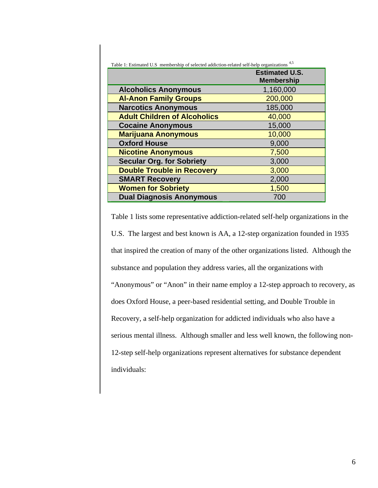| Table 1: Estimated U.S membership of selected addiction-related self-help organizations <sup>4,5</sup> |                       |  |
|--------------------------------------------------------------------------------------------------------|-----------------------|--|
|                                                                                                        | <b>Estimated U.S.</b> |  |
|                                                                                                        | <b>Membership</b>     |  |
| <b>Alcoholics Anonymous</b>                                                                            | 1,160,000             |  |
| <b>Al-Anon Family Groups</b>                                                                           | 200,000               |  |
| <b>Narcotics Anonymous</b>                                                                             | 185,000               |  |
| <b>Adult Children of Alcoholics</b>                                                                    | 40,000                |  |
| <b>Cocaine Anonymous</b>                                                                               | 15,000                |  |
| <b>Marijuana Anonymous</b>                                                                             | 10,000                |  |
| <b>Oxford House</b>                                                                                    | 9,000                 |  |
| <b>Nicotine Anonymous</b>                                                                              | 7,500                 |  |
| <b>Secular Org. for Sobriety</b>                                                                       | 3,000                 |  |
| <b>Double Trouble in Recovery</b>                                                                      | 3,000                 |  |
| <b>SMART Recovery</b>                                                                                  | 2,000                 |  |
| <b>Women for Sobriety</b>                                                                              | 1,500                 |  |
| <b>Dual Diagnosis Anonymous</b>                                                                        | 700                   |  |
|                                                                                                        |                       |  |

Table 1 lists some representative addiction-related self-help organizations in the U.S. The largest and best known is AA, a 12-step organization founded in 1935 that inspired the creation of many of the other organizations listed. Although the substance and population they address varies, all the organizations with "Anonymous" or "Anon" in their name employ a 12-step approach to recovery, as does Oxford House, a peer-based residential setting, and Double Trouble in Recovery, a self-help organization for addicted individuals who also have a serious mental illness. Although smaller and less well known, the following non-12-step self-help organizations represent alternatives for substance dependent individuals: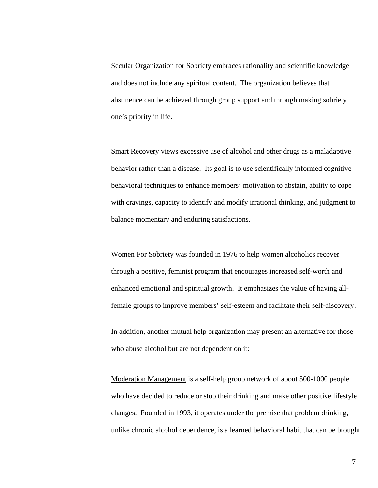Secular Organization for Sobriety embraces rationality and scientific knowledge and does not include any spiritual content. The organization believes that abstinence can be achieved through group support and through making sobriety one's priority in life.

Smart Recovery views excessive use of alcohol and other drugs as a maladaptive behavior rather than a disease. Its goal is to use scientifically informed cognitivebehavioral techniques to enhance members' motivation to abstain, ability to cope with cravings, capacity to identify and modify irrational thinking, and judgment to balance momentary and enduring satisfactions.

Women For Sobriety was founded in 1976 to help women alcoholics recover through a positive, feminist program that encourages increased self-worth and enhanced emotional and spiritual growth. It emphasizes the value of having allfemale groups to improve members' self-esteem and facilitate their self-discovery.

In addition, another mutual help organization may present an alternative for those who abuse alcohol but are not dependent on it:

Moderation Management is a self-help group network of about 500-1000 people who have decided to reduce or stop their drinking and make other positive lifestyle changes. Founded in 1993, it operates under the premise that problem drinking, unlike chronic alcohol dependence, is a learned behavioral habit that can be brought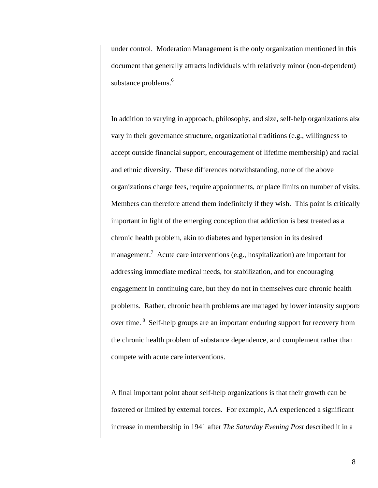under control. Moderation Management is the only organization mentioned in this document that generally attracts individuals with relatively minor (non-dependent) substance problems.<sup>6</sup>

In addition to varying in approach, philosophy, and size, self-help organizations also vary in their governance structure, organizational traditions (e.g., willingness to accept outside financial support, encouragement of lifetime membership) and racial and ethnic diversity. These differences notwithstanding, none of the above organizations charge fees, require appointments, or place limits on number of visits. Members can therefore attend them indefinitely if they wish. This point is critically important in light of the emerging conception that addiction is best treated as a chronic health problem, akin to diabetes and hypertension in its desired management.<sup>7</sup> Acute care interventions (e.g., hospitalization) are important for addressing immediate medical needs, for stabilization, and for encouraging engagement in continuing care, but they do not in themselves cure chronic health problems. Rather, chronic health problems are managed by lower intensity supports over time.<sup>8</sup> Self-help groups are an important enduring support for recovery from the chronic health problem of substance dependence, and complement rather than compete with acute care interventions.

A final important point about self-help organizations is that their growth can be fostered or limited by external forces. For example, AA experienced a significant increase in membership in 1941 after *The Saturday Evening Post* described it in a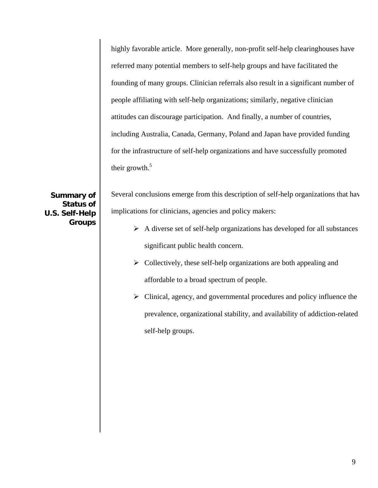highly favorable article. More generally, non-profit self-help clearinghouses have referred many potential members to self-help groups and have facilitated the founding of many groups. Clinician referrals also result in a significant number of people affiliating with self-help organizations; similarly, negative clinician attitudes can discourage participation. And finally, a number of countries, including Australia, Canada, Germany, Poland and Japan have provided funding for the infrastructure of self-help organizations and have successfully promoted their growth.<sup>5</sup>

**Summary of Status of U.S. Self-Help Groups**

Several conclusions emerge from this description of self-help organizations that have implications for clinicians, agencies and policy makers:

- $\triangleright$  A diverse set of self-help organizations has developed for all substances significant public health concern.
- $\triangleright$  Collectively, these self-help organizations are both appealing and affordable to a broad spectrum of people.
- $\triangleright$  Clinical, agency, and governmental procedures and policy influence the prevalence, organizational stability, and availability of addiction-related self-help groups.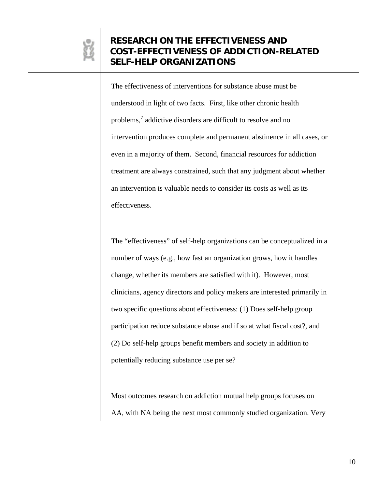

### **RESEARCH ON THE EFFECTIVENESS AND COST-EFFECTIVENESS OF ADDICTION-RELATED SELF-HELP ORGANIZATIONS**

The effectiveness of interventions for substance abuse must be understood in light of two facts. First, like other chronic health problems,<sup>7</sup> addictive disorders are difficult to resolve and no intervention produces complete and permanent abstinence in all cases, or even in a majority of them. Second, financial resources for addiction treatment are always constrained, such that any judgment about whether an intervention is valuable needs to consider its costs as well as its effectiveness.

The "effectiveness" of self-help organizations can be conceptualized in a number of ways (e.g., how fast an organization grows, how it handles change, whether its members are satisfied with it). However, most clinicians, agency directors and policy makers are interested primarily in two specific questions about effectiveness: (1) Does self-help group participation reduce substance abuse and if so at what fiscal cost?, and (2) Do self-help groups benefit members and society in addition to potentially reducing substance use per se?

Most outcomes research on addiction mutual help groups focuses on AA, with NA being the next most commonly studied organization. Very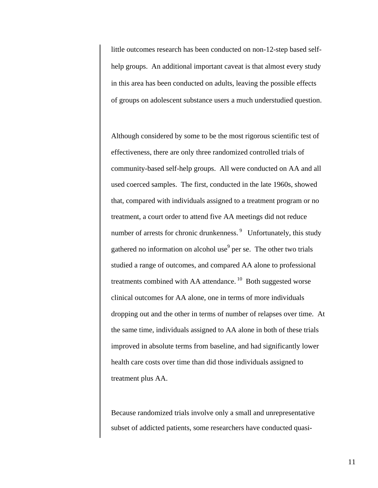little outcomes research has been conducted on non-12-step based selfhelp groups. An additional important caveat is that almost every study in this area has been conducted on adults, leaving the possible effects of groups on adolescent substance users a much understudied question.

Although considered by some to be the most rigorous scientific test of effectiveness, there are only three randomized controlled trials of community-based self-help groups. All were conducted on AA and all used coerced samples. The first, conducted in the late 1960s, showed that, compared with individuals assigned to a treatment program or no treatment, a court order to attend five AA meetings did not reduce number of arrests for chronic drunkenness.<sup>9</sup> Unfortunately, this study gathered no information on alcohol use<sup>9</sup> per se. The other two trials studied a range of outcomes, and compared AA alone to professional treatments combined with AA attendance.<sup>10</sup> Both suggested worse clinical outcomes for AA alone, one in terms of more individuals dropping out and the other in terms of number of relapses over time. At the same time, individuals assigned to AA alone in both of these trials improved in absolute terms from baseline, and had significantly lower health care costs over time than did those individuals assigned to treatment plus AA.

Because randomized trials involve only a small and unrepresentative subset of addicted patients, some researchers have conducted quasi-

11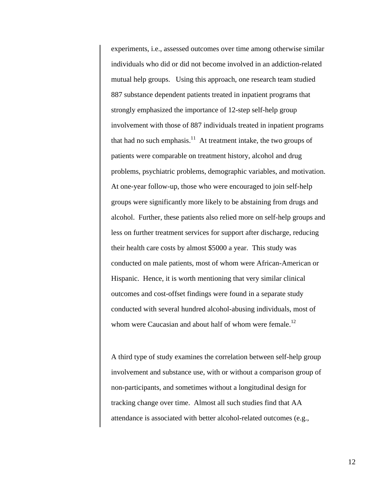experiments, i.e., assessed outcomes over time among otherwise similar individuals who did or did not become involved in an addiction-related mutual help groups. Using this approach, one research team studied 887 substance dependent patients treated in inpatient programs that strongly emphasized the importance of 12-step self-help group involvement with those of 887 individuals treated in inpatient programs that had no such emphasis. $11$  At treatment intake, the two groups of patients were comparable on treatment history, alcohol and drug problems, psychiatric problems, demographic variables, and motivation. At one-year follow-up, those who were encouraged to join self-help groups were significantly more likely to be abstaining from drugs and alcohol. Further, these patients also relied more on self-help groups and less on further treatment services for support after discharge, reducing their health care costs by almost \$5000 a year. This study was conducted on male patients, most of whom were African-American or Hispanic. Hence, it is worth mentioning that very similar clinical outcomes and cost-offset findings were found in a separate study conducted with several hundred alcohol-abusing individuals, most of whom were Caucasian and about half of whom were female.<sup>12</sup>

A third type of study examines the correlation between self-help group involvement and substance use, with or without a comparison group of non-participants, and sometimes without a longitudinal design for tracking change over time. Almost all such studies find that AA attendance is associated with better alcohol-related outcomes (e.g.,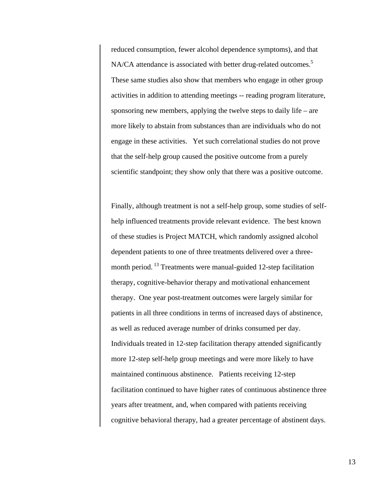reduced consumption, fewer alcohol dependence symptoms), and that NA/CA attendance is associated with better drug-related outcomes.<sup>5</sup> These same studies also show that members who engage in other group activities in addition to attending meetings -- reading program literature, sponsoring new members, applying the twelve steps to daily life – are more likely to abstain from substances than are individuals who do not engage in these activities. Yet such correlational studies do not prove that the self-help group caused the positive outcome from a purely scientific standpoint; they show only that there was a positive outcome.

Finally, although treatment is not a self-help group, some studies of selfhelp influenced treatments provide relevant evidence. The best known of these studies is Project MATCH, which randomly assigned alcohol dependent patients to one of three treatments delivered over a threemonth period.<sup>13</sup> Treatments were manual-guided 12-step facilitation therapy, cognitive-behavior therapy and motivational enhancement therapy. One year post-treatment outcomes were largely similar for patients in all three conditions in terms of increased days of abstinence, as well as reduced average number of drinks consumed per day. Individuals treated in 12-step facilitation therapy attended significantly more 12-step self-help group meetings and were more likely to have maintained continuous abstinence. Patients receiving 12-step facilitation continued to have higher rates of continuous abstinence three years after treatment, and, when compared with patients receiving cognitive behavioral therapy, had a greater percentage of abstinent days.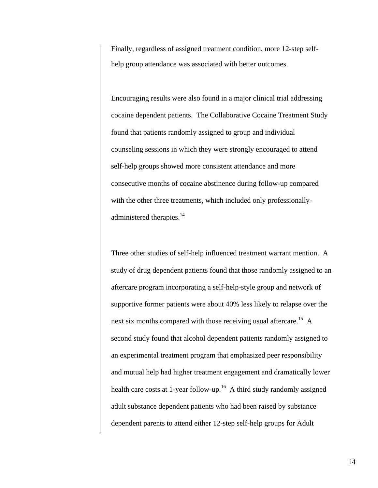Finally, regardless of assigned treatment condition, more 12-step selfhelp group attendance was associated with better outcomes.

Encouraging results were also found in a major clinical trial addressing cocaine dependent patients. The Collaborative Cocaine Treatment Study found that patients randomly assigned to group and individual counseling sessions in which they were strongly encouraged to attend self-help groups showed more consistent attendance and more consecutive months of cocaine abstinence during follow-up compared with the other three treatments, which included only professionallyadministered therapies.<sup>14</sup>

Three other studies of self-help influenced treatment warrant mention. A study of drug dependent patients found that those randomly assigned to an aftercare program incorporating a self-help-style group and network of supportive former patients were about 40% less likely to relapse over the next six months compared with those receiving usual aftercare.<sup>15</sup> A second study found that alcohol dependent patients randomly assigned to an experimental treatment program that emphasized peer responsibility and mutual help had higher treatment engagement and dramatically lower health care costs at 1-year follow-up.<sup>16</sup> A third study randomly assigned adult substance dependent patients who had been raised by substance dependent parents to attend either 12-step self-help groups for Adult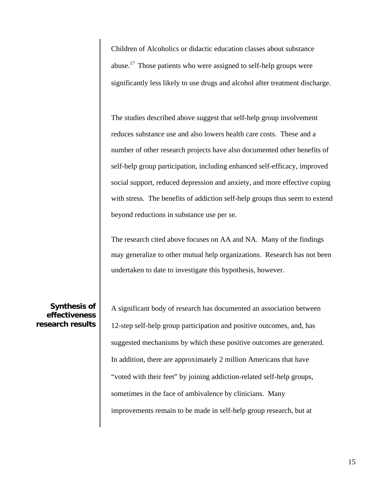Children of Alcoholics or didactic education classes about substance abuse.<sup>17</sup> Those patients who were assigned to self-help groups were significantly less likely to use drugs and alcohol after treatment discharge.

The studies described above suggest that self-help group involvement reduces substance use and also lowers health care costs. These and a number of other research projects have also documented other benefits of self-help group participation, including enhanced self-efficacy, improved social support, reduced depression and anxiety, and more effective coping with stress. The benefits of addiction self-help groups thus seem to extend beyond reductions in substance use per se.

The research cited above focuses on AA and NA. Many of the findings may generalize to other mutual help organizations. Research has not been undertaken to date to investigate this hypothesis, however.

A significant body of research has documented an association between 12-step self-help group participation and positive outcomes, and, has suggested mechanisms by which these positive outcomes are generated. In addition, there are approximately 2 million Americans that have "voted with their feet" by joining addiction-related self-help groups, sometimes in the face of ambivalence by clinicians. Many improvements remain to be made in self-help group research, but at

**Synthesis of effectiveness research results**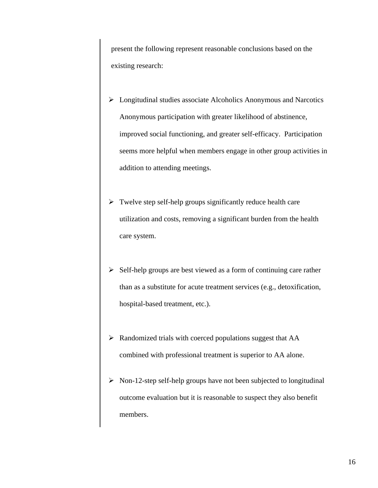present the following represent reasonable conclusions based on the existing research:

- $\triangleright$  Longitudinal studies associate Alcoholics Anonymous and Narcotics Anonymous participation with greater likelihood of abstinence, improved social functioning, and greater self-efficacy. Participation seems more helpful when members engage in other group activities in addition to attending meetings.
- $\triangleright$  Twelve step self-help groups significantly reduce health care utilization and costs, removing a significant burden from the health care system.
- $\triangleright$  Self-help groups are best viewed as a form of continuing care rather than as a substitute for acute treatment services (e.g., detoxification, hospital-based treatment, etc.).
- $\triangleright$  Randomized trials with coerced populations suggest that AA combined with professional treatment is superior to AA alone.
- $\triangleright$  Non-12-step self-help groups have not been subjected to longitudinal outcome evaluation but it is reasonable to suspect they also benefit members.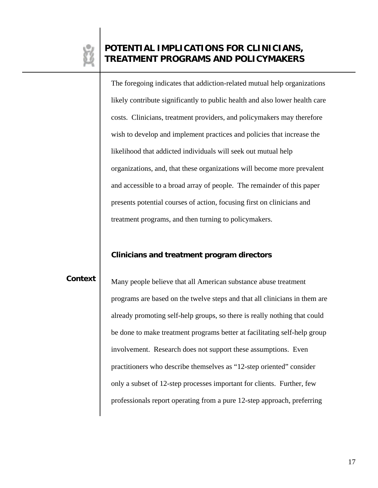

### **POTENTIAL IMPLICATIONS FOR CLINICIANS, TREATMENT PROGRAMS AND POLICYMAKERS**

The foregoing indicates that addiction-related mutual help organizations likely contribute significantly to public health and also lower health care costs. Clinicians, treatment providers, and policymakers may therefore wish to develop and implement practices and policies that increase the likelihood that addicted individuals will seek out mutual help organizations, and, that these organizations will become more prevalent and accessible to a broad array of people. The remainder of this paper presents potential courses of action, focusing first on clinicians and treatment programs, and then turning to policymakers.

#### **Clinicians and treatment program directors**

Many people believe that all American substance abuse treatment programs are based on the twelve steps and that all clinicians in them are already promoting self-help groups, so there is really nothing that could be done to make treatment programs better at facilitating self-help group involvement. Research does not support these assumptions. Even practitioners who describe themselves as "12-step oriented" consider only a subset of 12-step processes important for clients. Further, few professionals report operating from a pure 12-step approach, preferring **Context**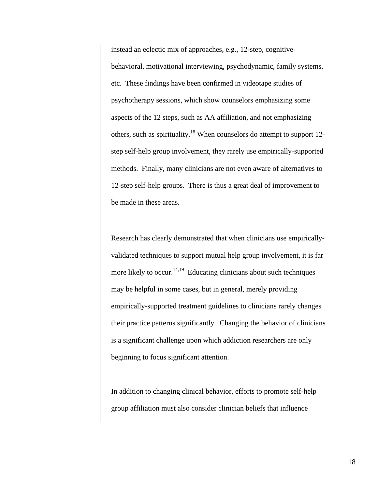instead an eclectic mix of approaches, e.g., 12-step, cognitivebehavioral, motivational interviewing, psychodynamic, family systems, etc. These findings have been confirmed in videotape studies of psychotherapy sessions, which show counselors emphasizing some aspects of the 12 steps, such as AA affiliation, and not emphasizing others, such as spirituality.<sup>18</sup> When counselors do attempt to support 12step self-help group involvement, they rarely use empirically-supported methods. Finally, many clinicians are not even aware of alternatives to 12-step self-help groups. There is thus a great deal of improvement to be made in these areas.

Research has clearly demonstrated that when clinicians use empiricallyvalidated techniques to support mutual help group involvement, it is far more likely to occur.<sup>14,19</sup> Educating clinicians about such techniques may be helpful in some cases, but in general, merely providing empirically-supported treatment guidelines to clinicians rarely changes their practice patterns significantly. Changing the behavior of clinicians is a significant challenge upon which addiction researchers are only beginning to focus significant attention.

In addition to changing clinical behavior, efforts to promote self-help group affiliation must also consider clinician beliefs that influence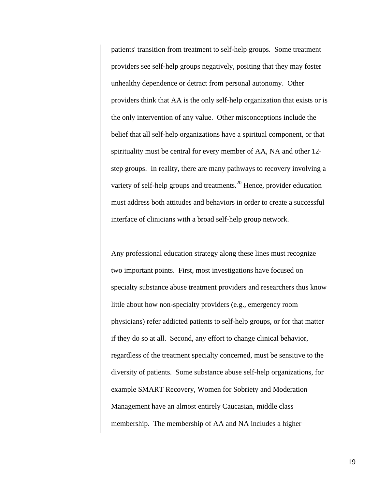patients' transition from treatment to self-help groups. Some treatment providers see self-help groups negatively, positing that they may foster unhealthy dependence or detract from personal autonomy. Other providers think that AA is the only self-help organization that exists or is the only intervention of any value. Other misconceptions include the belief that all self-help organizations have a spiritual component, or that spirituality must be central for every member of AA, NA and other 12 step groups. In reality, there are many pathways to recovery involving a variety of self-help groups and treatments.<sup>20</sup> Hence, provider education must address both attitudes and behaviors in order to create a successful interface of clinicians with a broad self-help group network.

Any professional education strategy along these lines must recognize two important points. First, most investigations have focused on specialty substance abuse treatment providers and researchers thus know little about how non-specialty providers (e.g., emergency room physicians) refer addicted patients to self-help groups, or for that matter if they do so at all. Second, any effort to change clinical behavior, regardless of the treatment specialty concerned, must be sensitive to the diversity of patients. Some substance abuse self-help organizations, for example SMART Recovery, Women for Sobriety and Moderation Management have an almost entirely Caucasian, middle class membership. The membership of AA and NA includes a higher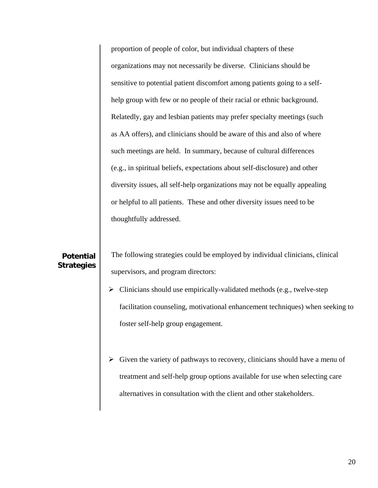proportion of people of color, but individual chapters of these organizations may not necessarily be diverse. Clinicians should be sensitive to potential patient discomfort among patients going to a selfhelp group with few or no people of their racial or ethnic background. Relatedly, gay and lesbian patients may prefer specialty meetings (such as AA offers), and clinicians should be aware of this and also of where such meetings are held. In summary, because of cultural differences (e.g., in spiritual beliefs, expectations about self-disclosure) and other diversity issues, all self-help organizations may not be equally appealing or helpful to all patients. These and other diversity issues need to be thoughtfully addressed.

#### **Potential Strategies**

The following strategies could be employed by individual clinicians, clinical supervisors, and program directors:

 $\triangleright$  Clinicians should use empirically-validated methods (e.g., twelve-step facilitation counseling, motivational enhancement techniques) when seeking to foster self-help group engagement.

 $\triangleright$  Given the variety of pathways to recovery, clinicians should have a menu of treatment and self-help group options available for use when selecting care alternatives in consultation with the client and other stakeholders.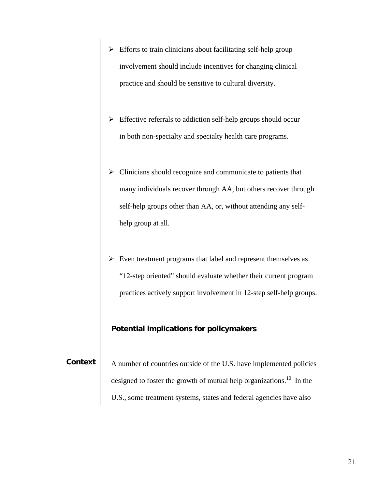- $\triangleright$  Efforts to train clinicians about facilitating self-help group involvement should include incentives for changing clinical practice and should be sensitive to cultural diversity.
- $\triangleright$  Effective referrals to addiction self-help groups should occur in both non-specialty and specialty health care programs.
- $\triangleright$  Clinicians should recognize and communicate to patients that many individuals recover through AA, but others recover through self-help groups other than AA, or, without attending any selfhelp group at all.
- $\triangleright$  Even treatment programs that label and represent themselves as "12-step oriented" should evaluate whether their current program practices actively support involvement in 12-step self-help groups.

#### **Potential implications for policymakers**

A number of countries outside of the U.S. have implemented policies designed to foster the growth of mutual help organizations.<sup>10</sup> In the U.S., some treatment systems, states and federal agencies have also **Context**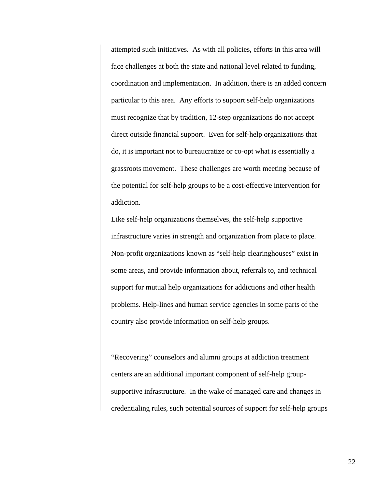attempted such initiatives. As with all policies, efforts in this area will face challenges at both the state and national level related to funding, coordination and implementation. In addition, there is an added concern particular to this area. Any efforts to support self-help organizations must recognize that by tradition, 12-step organizations do not accept direct outside financial support. Even for self-help organizations that do, it is important not to bureaucratize or co-opt what is essentially a grassroots movement. These challenges are worth meeting because of the potential for self-help groups to be a cost-effective intervention for addiction.

Like self-help organizations themselves, the self-help supportive infrastructure varies in strength and organization from place to place. Non-profit organizations known as "self-help clearinghouses" exist in some areas, and provide information about, referrals to, and technical support for mutual help organizations for addictions and other health problems. Help-lines and human service agencies in some parts of the country also provide information on self-help groups.

"Recovering" counselors and alumni groups at addiction treatment centers are an additional important component of self-help groupsupportive infrastructure. In the wake of managed care and changes in credentialing rules, such potential sources of support for self-help groups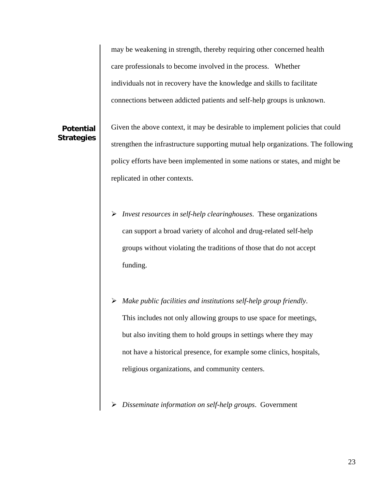may be weakening in strength, thereby requiring other concerned health care professionals to become involved in the process. Whether individuals not in recovery have the knowledge and skills to facilitate connections between addicted patients and self-help groups is unknown.

### **Potential Strategies**

Given the above context, it may be desirable to implement policies that could strengthen the infrastructure supporting mutual help organizations. The following policy efforts have been implemented in some nations or states, and might be replicated in other contexts.

- ÿ *Invest resources in self-help clearinghouses*. These organizations can support a broad variety of alcohol and drug-related self-help groups without violating the traditions of those that do not accept funding.
- ÿ *Make public facilities and institutions self-help group friendly*. This includes not only allowing groups to use space for meetings, but also inviting them to hold groups in settings where they may not have a historical presence, for example some clinics, hospitals, religious organizations, and community centers.
- ÿ *Disseminate information on self-help groups*. Government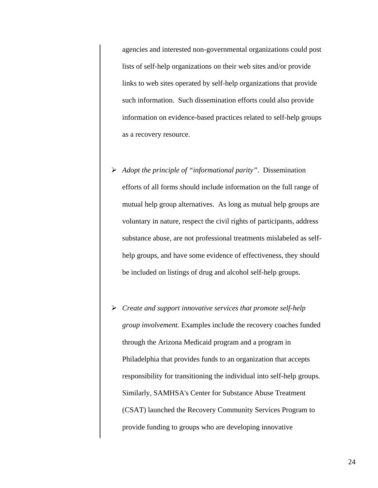agencies and interested non-governmental organizations could post lists of self-help organizations on their web sites and/or provide links to web sites operated by self-help organizations that provide such information. Such dissemination efforts could also provide information on evidence-based practices related to self-help groups as a recovery resource.

- ÿ *Adopt the principle of "informational parity"*. Dissemination efforts of all forms should include information on the full range of mutual help group alternatives. As long as mutual help groups are voluntary in nature, respect the civil rights of participants, address substance abuse, are not professional treatments mislabeled as selfhelp groups, and have some evidence of effectiveness, they should be included on listings of drug and alcohol self-help groups.
- ÿ *Create and support innovative services that promote self-help group involvement.* Examples include the recovery coaches funded through the Arizona Medicaid program and a program in Philadelphia that provides funds to an organization that accepts responsibility for transitioning the individual into self-help groups. Similarly, SAMHSA's Center for Substance Abuse Treatment (CSAT) launched the Recovery Community Services Program to provide funding to groups who are developing innovative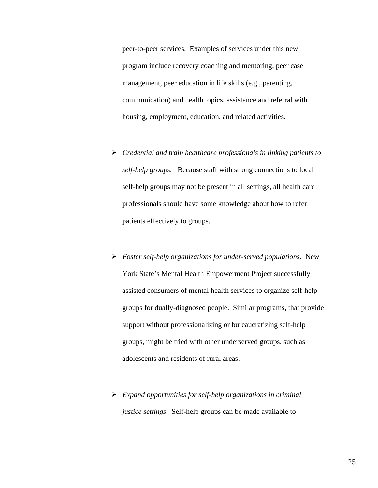peer-to-peer services. Examples of services under this new program include recovery coaching and mentoring, peer case management, peer education in life skills (e.g., parenting, communication) and health topics, assistance and referral with housing, employment, education, and related activities.

- ÿ *Credential and train healthcare professionals in linking patients to self-help groups.* Because staff with strong connections to local self-help groups may not be present in all settings, all health care professionals should have some knowledge about how to refer patients effectively to groups.
- ÿ *Foster self-help organizations for under-served populations*. New York State's Mental Health Empowerment Project successfully assisted consumers of mental health services to organize self-help groups for dually-diagnosed people. Similar programs, that provide support without professionalizing or bureaucratizing self-help groups, might be tried with other underserved groups, such as adolescents and residents of rural areas.
- ÿ *Expand opportunities for self-help organizations in criminal justice settings*. Self-help groups can be made available to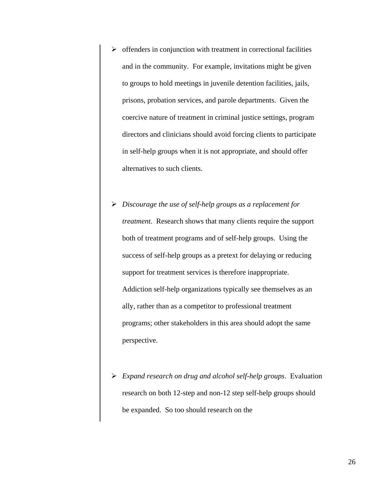- $\triangleright$  offenders in conjunction with treatment in correctional facilities and in the community. For example, invitations might be given to groups to hold meetings in juvenile detention facilities, jails, prisons, probation services, and parole departments. Given the coercive nature of treatment in criminal justice settings, program directors and clinicians should avoid forcing clients to participate in self-help groups when it is not appropriate, and should offer alternatives to such clients.
- ÿ *Discourage the use of self-help groups as a replacement for treatment*. Research shows that many clients require the support both of treatment programs and of self-help groups. Using the success of self-help groups as a pretext for delaying or reducing support for treatment services is therefore inappropriate. Addiction self-help organizations typically see themselves as an ally, rather than as a competitor to professional treatment programs; other stakeholders in this area should adopt the same perspective.
- ÿ *Expand research on drug and alcohol self-help groups*. Evaluation research on both 12-step and non-12 step self-help groups should be expanded. So too should research on the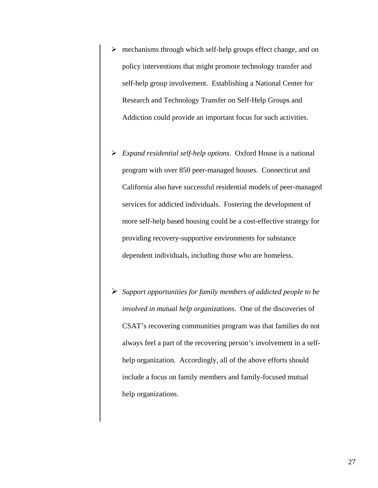- $\triangleright$  mechanisms through which self-help groups effect change, and on policy interventions that might promote technology transfer and self-help group involvement. Establishing a National Center for Research and Technology Transfer on Self-Help Groups and Addiction could provide an important focus for such activities.
- ÿ *Expand residential self-help options*. Oxford House is a national program with over 850 peer-managed houses. Connecticut and California also have successful residential models of peer-managed services for addicted individuals. Fostering the development of more self-help based housing could be a cost-effective strategy for providing recovery-supportive environments for substance dependent individuals, including those who are homeless.
- ÿ *Support opportunities for family members of addicted people to be involved in mutual help organizations*. One of the discoveries of CSAT's recovering communities program was that families do not always feel a part of the recovering person's involvement in a selfhelp organization. Accordingly, all of the above efforts should include a focus on family members and family-focused mutual help organizations.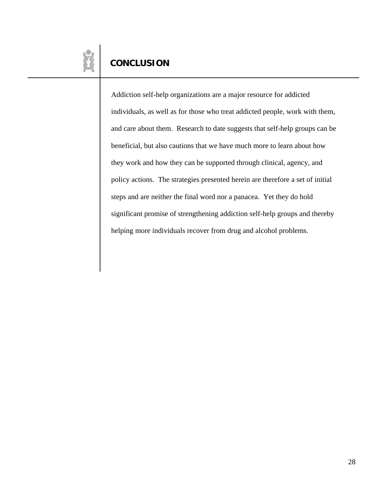

## **CONCLUSION**

Addiction self-help organizations are a major resource for addicted individuals, as well as for those who treat addicted people, work with them, and care about them. Research to date suggests that self-help groups can be beneficial, but also cautions that we have much more to learn about how they work and how they can be supported through clinical, agency, and policy actions. The strategies presented herein are therefore a set of initial steps and are neither the final word nor a panacea. Yet they do hold significant promise of strengthening addiction self-help groups and thereby helping more individuals recover from drug and alcohol problems.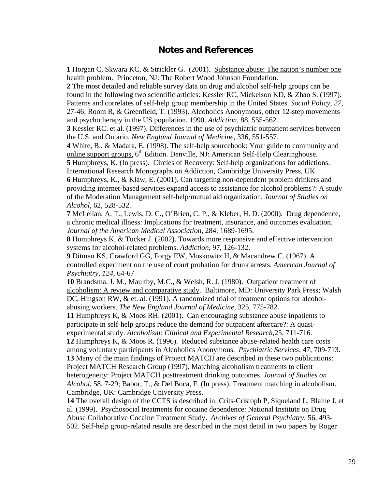### **Notes and References**

**1** Horgan C, Skwara KC, & Strickler G. (2001). Substance abuse: The nation's number one health problem. Princeton, NJ: The Robert Wood Johnson Foundation.

**2** The most detailed and reliable survey data on drug and alcohol self-help groups can be found in the following two scientific articles: Kessler RC, Mickelson KD, & Zhao S. (1997). Patterns and correlates of self-help group membership in the United States. *Social Policy*, *27*, 27-46; Room R, & Greenfield, T. (1993). Alcoholics Anonymous, other 12-step movements and psychotherapy in the US population, 1990. *Addiction,* 88, 555-562.

**3** Kessler RC. et al. (1997). Differences in the use of psychiatric outpatient services between the U.S. and Ontario. *New England Journal of Medicine*, 336, 551-557.

**4** White, B., & Madara, E. (1998). The self-help sourcebook: Your guide to community and online support groups,  $6<sup>th</sup>$  Edition. Denville, NJ: American Self-Help Clearinghouse. **5** Humphreys, K. (In press). Circles of Recovery: Self-help organizations for addictions.

International Research Monographs on Addiction, Cambridge University Press, UK. **6** Humphreys, K., & Klaw, E. (2001). Can targeting non-dependent problem drinkers and providing internet-based services expand access to assistance for alcohol problems?: A study of the Moderation Management self-help/mutual aid organization. *Journal of Studies on Alcohol*, 62, 528-532.

**7** McLellan, A. T., Lewis, D. C., O'Brien, C. P., & Kleber, H. D. (2000). Drug dependence, a chronic medical illness: Implications for treatment, insurance, and outcomes evaluation. *Journal of the American Medical Association*, 284, 1689-1695.

**8** Humphreys K, & Tucker J. (2002). Towards more responsive and effective intervention systems for alcohol-related problems. *Addiction*, 97, 126-132.

**9** Ditman KS, Crawford GG, Forgy EW, Moskowitz H, & Macandrew C. (1967). A controlled experiment on the use of court probation for drunk arrests. *American Journal of Psychiatry*, *124*, 64-67

**10** Brandsma, J. M., Maultby, M.C., & Welsh, R. J. (1980). Outpatient treatment of alcoholism: A review and comparative study. Baltimore, MD: University Park Press; Walsh DC, Hingson RW, & et. al. (1991). A randomized trial of treatment options for alcoholabusing workers. *The New England Journal of Medicine*, 325, 775-782.

**11** Humphreys K, & Moos RH. (2001). Can encouraging substance abuse inpatients to participate in self-help groups reduce the demand for outpatient aftercare?: A quasiexperimental study. *Alcoholism: Clinical and Experimental Research,*25, 711-716.

**12** Humphreys K, & Moos R. (1996). Reduced substance abuse-related health care costs among voluntary participants in Alcoholics Anonymous. *Psychiatric Services*, 47, 709-713. **13** Many of the main findings of Project MATCH are described in these two publications: Project MATCH Research Group (1997). Matching alcoholism treatments to client heterogeneity: Project MATCH posttreatment drinking outcomes. *Journal of Studies on Alcohol*, 58, 7-29; Babor, T., & Del Boca, F. (In press). Treatment matching in alcoholism. Cambridge, UK: Cambridge University Press.

**14** The overall design of the CCTS is described in: Crits-Cristoph P, Siqueland L, Blaine J. et al. (1999). Psychosocial treatments for cocaine dependence: National Institute on Drug Abuse Collaborative Cocaine Treatment Study. *Archives of General Psychiatry*, 56, 493- 502. Self-help group-related results are described in the most detail in two papers by Roger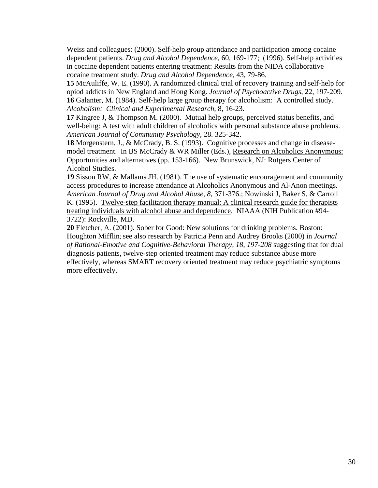Weiss and colleagues: (2000). Self-help group attendance and participation among cocaine dependent patients. *Drug and Alcohol Dependence,* 60, 169-177; (1996). Self-help activities in cocaine dependent patients entering treatment: Results from the NIDA collaborative cocaine treatment study. *Drug and Alcohol Dependence*, 43, 79-86.

**15** McAuliffe, W. E. (1990). A randomized clinical trial of recovery training and self-help for opiod addicts in New England and Hong Kong. *Journal of Psychoactive Drugs*, 22, 197-209. **16** Galanter, M. (1984). Self-help large group therapy for alcoholism: A controlled study. *Alcoholism: Clinical and Experimental Research*, 8, 16-23.

**17** Kingree J, & Thompson M. (2000). Mutual help groups, perceived status benefits, and well-being: A test with adult children of alcoholics with personal substance abuse problems. *American Journal of Community Psychology*, 28. 325-342.

**18** Morgenstern, J., & McCrady, B. S. (1993). Cognitive processes and change in diseasemodel treatment. In BS McCrady & WR Miller (Eds.), Research on Alcoholics Anonymous: Opportunities and alternatives (pp. 153-166). New Brunswick, NJ: Rutgers Center of Alcohol Studies.

**19** Sisson RW, & Mallams JH. (1981). The use of systematic encouragement and community access procedures to increase attendance at Alcoholics Anonymous and Al-Anon meetings. *American Journal of Drug and Alcohol Abuse*, *8*, 371-376.; Nowinski J, Baker S, & Carroll K. (1995). Twelve-step facilitation therapy manual: A clinical research guide for therapists treating individuals with alcohol abuse and dependence. NIAAA (NIH Publication #94- 3722): Rockville, MD.

**20** Fletcher, A. (2001). Sober for Good: New solutions for drinking problems. Boston: Houghton Mifflin; see also research by Patricia Penn and Audrey Brooks (2000) in *Journal of Rational-Emotive and Cognitive-Behavioral Therapy, 18, 197-208* suggesting that for dual diagnosis patients, twelve-step oriented treatment may reduce substance abuse more effectively, whereas SMART recovery oriented treatment may reduce psychiatric symptoms more effectively.